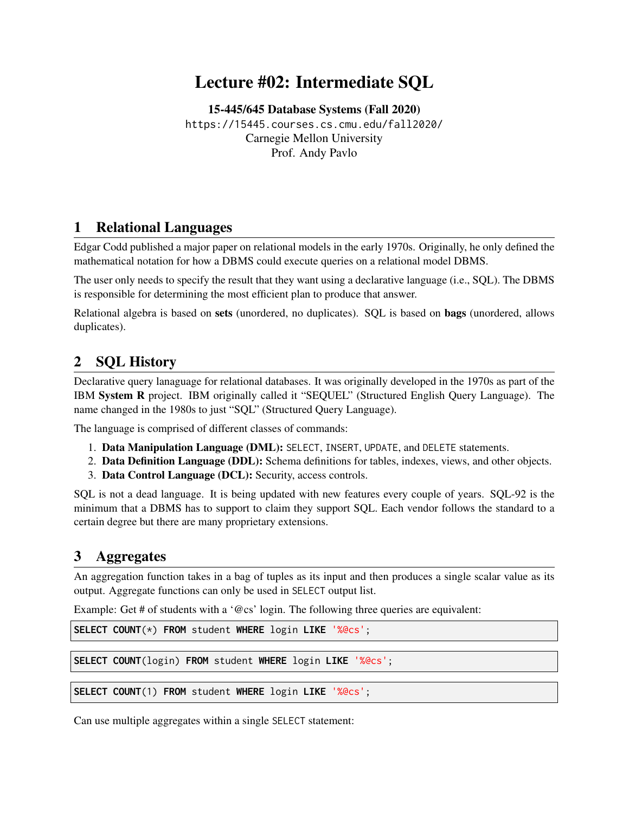# Lecture #02: Intermediate SQL

[15-445/645 Database Systems \(Fall 2020\)](https://15445.courses.cs.cmu.edu/fall2020/) <https://15445.courses.cs.cmu.edu/fall2020/> Carnegie Mellon University [Prof. Andy Pavlo](http://www.cs.cmu.edu/~pavlo/)

## 1 Relational Languages

[Edgar Codd](https://en.wikipedia.org/wiki/Edgar_F._Codd) published a major paper on relational models in the early 1970s. Originally, he only defined the mathematical notation for how a DBMS could execute queries on a relational model DBMS.

The user only needs to specify the result that they want using a declarative language (i.e., SQL). The DBMS is responsible for determining the most efficient plan to produce that answer.

Relational algebra is based on sets (unordered, no duplicates). SQL is based on bags (unordered, allows duplicates).

## 2 SQL History

Declarative query lanaguage for relational databases. It was originally developed in the 1970s as part of the IBM System R project. IBM originally called it "SEQUEL" (Structured English Query Language). The name changed in the 1980s to just "SQL" (Structured Query Language).

The language is comprised of different classes of commands:

- 1. Data Manipulation Language (DML): SELECT, INSERT, UPDATE, and DELETE statements.
- 2. Data Definition Language (DDL): Schema definitions for tables, indexes, views, and other objects.
- 3. Data Control Language (DCL): Security, access controls.

SQL is not a dead language. It is being updated with new features every couple of years. SQL-92 is the minimum that a DBMS has to support to claim they support SQL. Each vendor follows the standard to a certain degree but there are many proprietary extensions.

#### 3 Aggregates

An aggregation function takes in a bag of tuples as its input and then produces a single scalar value as its output. Aggregate functions can only be used in SELECT output list.

Example: Get # of students with a '@cs' login. The following three queries are equivalent:

```
SELECT COUNT(*) FROM student WHERE login LIKE '%@cs';
```

```
SELECT COUNT(login) FROM student WHERE login LIKE '%@cs';
```

```
SELECT COUNT(1) FROM student WHERE login LIKE '%@cs';
```
Can use multiple aggregates within a single SELECT statement: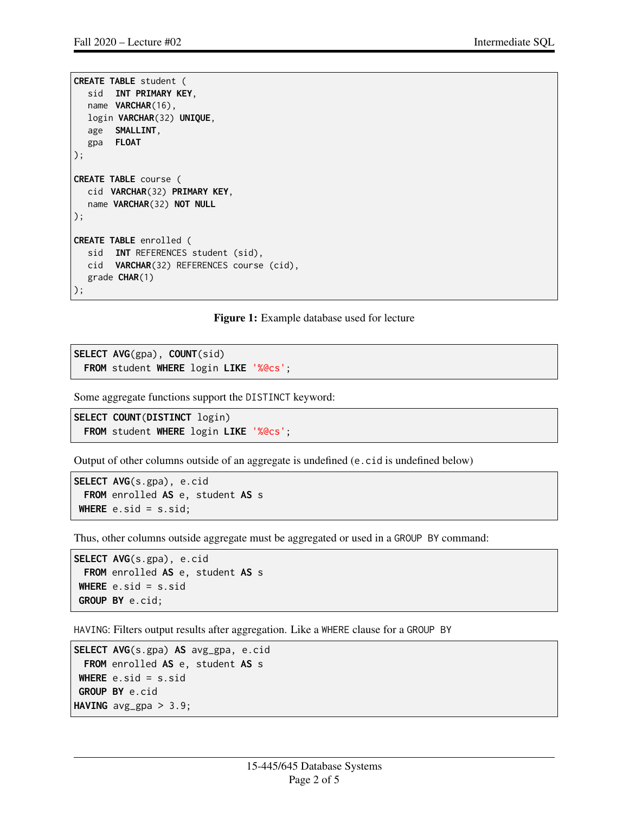```
CREATE TABLE student (
  sid INT PRIMARY KEY,
  name VARCHAR(16),
 login VARCHAR(32) UNIQUE,
  age SMALLINT,
  gpa FLOAT
);
CREATE TABLE course (
  cid VARCHAR(32) PRIMARY KEY,
  name VARCHAR(32) NOT NULL
);
CREATE TABLE enrolled (
  sid INT REFERENCES student (sid),
  cid VARCHAR(32) REFERENCES course (cid),
  grade CHAR(1)
);
```
Figure 1: Example database used for lecture

```
SELECT AVG(gpa), COUNT(sid)
 FROM student WHERE login LIKE '%@cs';
```
Some aggregate functions support the DISTINCT keyword:

```
SELECT COUNT(DISTINCT login)
 FROM student WHERE login LIKE '%@cs';
```
Output of other columns outside of an aggregate is undefined (e.cid is undefined below)

```
SELECT AVG(s.gpa), e.cid
 FROM enrolled AS e, student AS s
WHERE e.sid = s.sid;
```
Thus, other columns outside aggregate must be aggregated or used in a GROUP BY command:

```
SELECT AVG(s.gpa), e.cid
 FROM enrolled AS e, student AS s
WHERE e.sid = s.sid
GROUP BY e.cid;
```
HAVING: Filters output results after aggregation. Like a WHERE clause for a GROUP BY

```
SELECT AVG(s.gpa) AS avg_gpa, e.cid
 FROM enrolled AS e, student AS s
WHERE e.sid = s.sid
GROUP BY e.cid
HAVING avg_gpa > 3.9;
```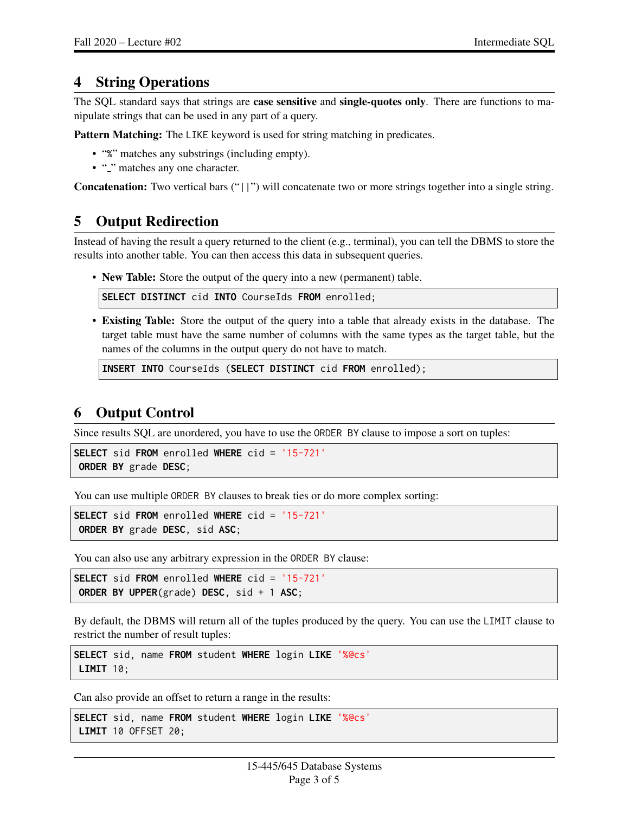#### 4 String Operations

The SQL standard says that strings are **case sensitive** and **single-quotes only**. There are functions to manipulate strings that can be used in any part of a query.

Pattern Matching: The LIKE keyword is used for string matching in predicates.

- "%" matches any substrings (including empty).
- "<sup>"</sup> matches any one character.

Concatenation: Two vertical bars ("||") will concatenate two or more strings together into a single string.

## 5 Output Redirection

Instead of having the result a query returned to the client (e.g., terminal), you can tell the DBMS to store the results into another table. You can then access this data in subsequent queries.

• New Table: Store the output of the query into a new (permanent) table.

**SELECT DISTINCT** cid **INTO** CourseIds **FROM** enrolled;

• Existing Table: Store the output of the query into a table that already exists in the database. The target table must have the same number of columns with the same types as the target table, but the names of the columns in the output query do not have to match.

```
INSERT INTO CourseIds (SELECT DISTINCT cid FROM enrolled);
```
## 6 Output Control

Since results SQL are unordered, you have to use the ORDER BY clause to impose a sort on tuples:

```
SELECT sid FROM enrolled WHERE cid = '15-721'
ORDER BY grade DESC;
```
You can use multiple ORDER BY clauses to break ties or do more complex sorting:

```
SELECT sid FROM enrolled WHERE cid = '15-721'
ORDER BY grade DESC, sid ASC;
```
You can also use any arbitrary expression in the ORDER BY clause:

```
SELECT sid FROM enrolled WHERE cid = '15-721'
ORDER BY UPPER(grade) DESC, sid + 1 ASC;
```
By default, the DBMS will return all of the tuples produced by the query. You can use the LIMIT clause to restrict the number of result tuples:

**SELECT** sid, name **FROM** student **WHERE** login **LIKE** '%@cs' **LIMIT** 10;

Can also provide an offset to return a range in the results:

```
SELECT sid, name FROM student WHERE login LIKE '%@cs'
LIMIT 10 OFFSET 20;
```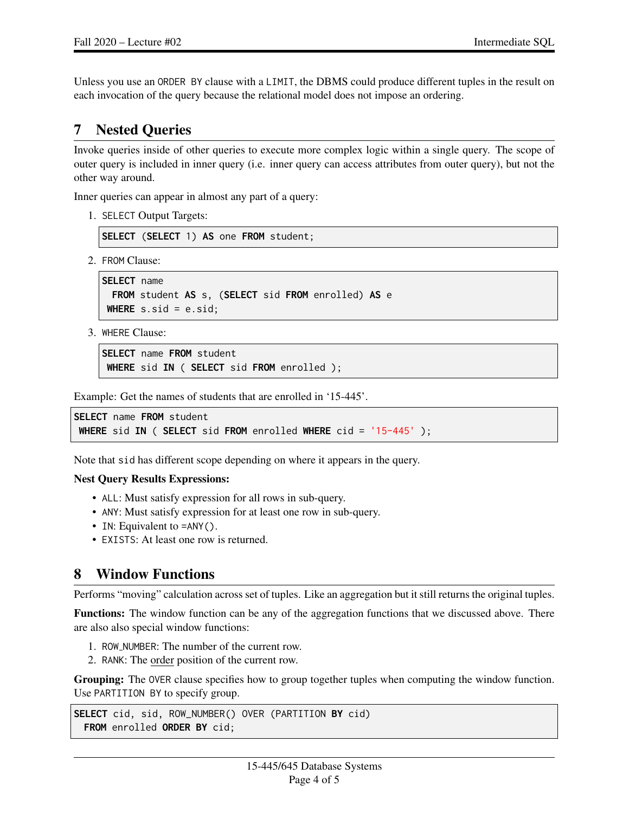Unless you use an ORDER BY clause with a LIMIT, the DBMS could produce different tuples in the result on each invocation of the query because the relational model does not impose an ordering.

## 7 Nested Queries

Invoke queries inside of other queries to execute more complex logic within a single query. The scope of outer query is included in inner query (i.e. inner query can access attributes from outer query), but not the other way around.

Inner queries can appear in almost any part of a query:

1. SELECT Output Targets:

**SELECT** (**SELECT** 1) **AS** one **FROM** student;

2. FROM Clause:

```
SELECT name
 FROM student AS s, (SELECT sid FROM enrolled) AS e
WHERE s.sid = e.sid;
```
3. WHERE Clause:

```
SELECT name FROM student
WHERE sid IN ( SELECT sid FROM enrolled );
```
Example: Get the names of students that are enrolled in '15-445'.

```
SELECT name FROM student
WHERE sid IN ( SELECT sid FROM enrolled WHERE cid = '15-445' );
```
Note that sid has different scope depending on where it appears in the query.

#### Nest Query Results Expressions:

- ALL: Must satisfy expression for all rows in sub-query.
- ANY: Must satisfy expression for at least one row in sub-query.
- IN: Equivalent to =ANY().
- EXISTS: At least one row is returned.

#### 8 Window Functions

Performs "moving" calculation across set of tuples. Like an aggregation but it still returns the original tuples.

Functions: The window function can be any of the aggregation functions that we discussed above. There are also also special window functions:

- 1. ROW NUMBER: The number of the current row.
- 2. RANK: The order position of the current row.

Grouping: The OVER clause specifies how to group together tuples when computing the window function. Use PARTITION BY to specify group.

```
SELECT cid, sid, ROW_NUMBER() OVER (PARTITION BY cid)
 FROM enrolled ORDER BY cid;
```